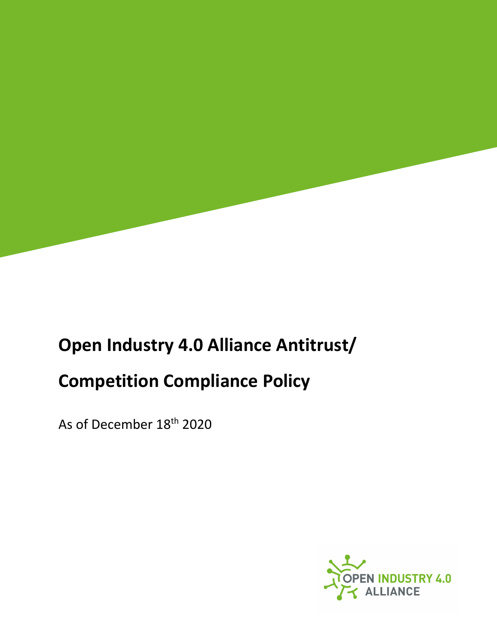

## **Open Industry 4.0 Alliance Antitrust/ Competition Compliance Policy**

As of December 18th 2020

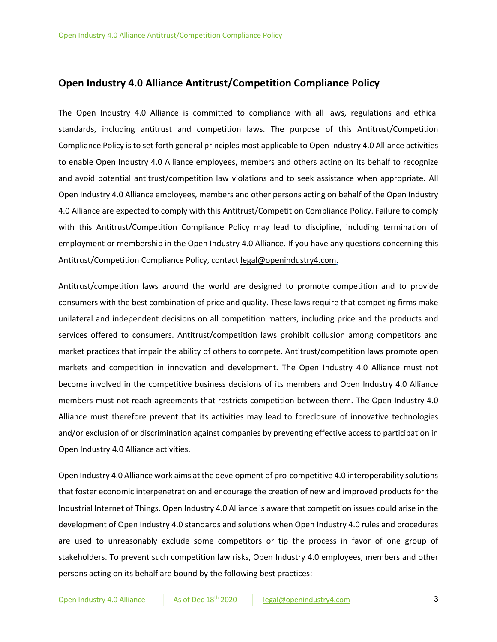## **Open Industry 4.0 Alliance Antitrust/Competition Compliance Policy**

The Open Industry 4.0 Alliance is committed to compliance with all laws, regulations and ethical standards, including antitrust and competition laws. The purpose of this Antitrust/Competition Compliance Policy is to set forth general principles most applicable to Open Industry 4.0 Alliance activities to enable Open Industry 4.0 Alliance employees, members and others acting on its behalf to recognize and avoid potential antitrust/competition law violations and to seek assistance when appropriate. All Open Industry 4.0 Alliance employees, members and other persons acting on behalf of the Open Industry 4.0 Alliance are expected to comply with this Antitrust/Competition Compliance Policy. Failure to comply with this Antitrust/Competition Compliance Policy may lead to discipline, including termination of employment or membership in the Open Industry 4.0 Alliance. If you have any questions concerning this Antitrust/Competition Compliance Policy, contact legal@openindustry4.com.

Antitrust/competition laws around the world are designed to promote competition and to provide consumers with the best combination of price and quality. These laws require that competing firms make unilateral and independent decisions on all competition matters, including price and the products and services offered to consumers. Antitrust/competition laws prohibit collusion among competitors and market practices that impair the ability of others to compete. Antitrust/competition laws promote open markets and competition in innovation and development. The Open Industry 4.0 Alliance must not become involved in the competitive business decisions of its members and Open Industry 4.0 Alliance members must not reach agreements that restricts competition between them. The Open Industry 4.0 Alliance must therefore prevent that its activities may lead to foreclosure of innovative technologies and/or exclusion of or discrimination against companies by preventing effective access to participation in Open Industry 4.0 Alliance activities.

Open Industry 4.0 Alliance work aims at the development of pro-competitive 4.0 interoperability solutions that foster economic interpenetration and encourage the creation of new and improved products for the Industrial Internet of Things. Open Industry 4.0 Alliance is aware that competition issues could arise in the development of Open Industry 4.0 standards and solutions when Open Industry 4.0 rules and procedures are used to unreasonably exclude some competitors or tip the process in favor of one group of stakeholders. To prevent such competition law risks, Open Industry 4.0 employees, members and other persons acting on its behalf are bound by the following best practices: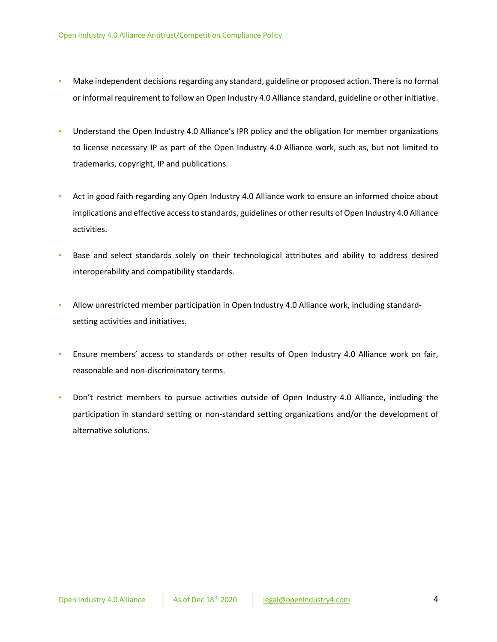- Make independent decisions regarding any standard, guideline or proposed action. There is no formal or informal requirement to follow an Open Industry 4.0 Alliance standard, guideline or other initiative.
- Understand the Open Industry 4.0 Alliance's IPR policy and the obligation for member organizations to license necessary IP as part of the Open Industry 4.0 Alliance work, such as, but not limited to trademarks, copyright, IP and publications.
- Act in good faith regarding any Open Industry 4.0 Alliance work to ensure an informed choice about implications and effective access to standards, guidelines or other results of Open Industry 4.0 Alliance activities.
- Base and select standards solely on their technological attributes and ability to address desired interoperability and compatibility standards.
- Allow unrestricted member participation in Open Industry 4.0 Alliance work, including standardsetting activities and initiatives.
- Ensure members' access to standards or other results of Open Industry 4.0 Alliance work on fair, reasonable and non-discriminatory terms.
- Don't restrict members to pursue activities outside of Open Industry 4.0 Alliance, including the participation in standard setting or non-standard setting organizations and/or the development of alternative solutions.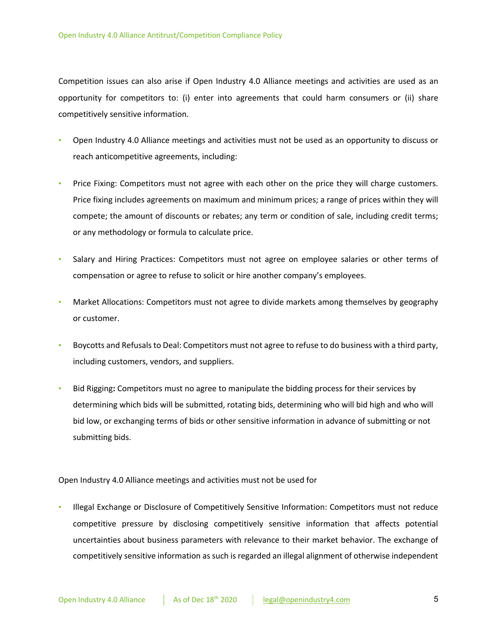Competition issues can also arise if Open Industry 4.0 Alliance meetings and activities are used as an opportunity for competitors to: (i) enter into agreements that could harm consumers or (ii) share competitively sensitive information.

- Open Industry 4.0 Alliance meetings and activities must not be used as an opportunity to discuss or reach anticompetitive agreements, including:
- Price Fixing: Competitors must not agree with each other on the price they will charge customers. Price fixing includes agreements on maximum and minimum prices; a range of prices within they will compete; the amount of discounts or rebates; any term or condition of sale, including credit terms; or any methodology or formula to calculate price.
- Salary and Hiring Practices: Competitors must not agree on employee salaries or other terms of compensation or agree to refuse to solicit or hire another company's employees.
- Market Allocations: Competitors must not agree to divide markets among themselves by geography or customer.
- Boycotts and Refusals to Deal: Competitors must not agree to refuse to do business with a third party, including customers, vendors, and suppliers.
- Bid Rigging**:** Competitors must no agree to manipulate the bidding process for their services by determining which bids will be submitted, rotating bids, determining who will bid high and who will bid low, or exchanging terms of bids or other sensitive information in advance of submitting or not submitting bids.

Open Industry 4.0 Alliance meetings and activities must not be used for

• Illegal Exchange or Disclosure of Competitively Sensitive Information: Competitors must not reduce competitive pressure by disclosing competitively sensitive information that affects potential uncertainties about business parameters with relevance to their market behavior. The exchange of competitively sensitive information as such is regarded an illegal alignment of otherwise independent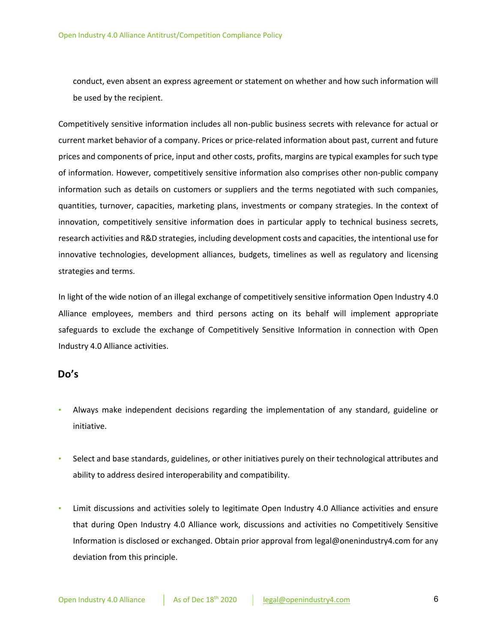conduct, even absent an express agreement or statement on whether and how such information will be used by the recipient.

Competitively sensitive information includes all non-public business secrets with relevance for actual or current market behavior of a company. Prices or price-related information about past, current and future prices and components of price, input and other costs, profits, margins are typical examples for such type of information. However, competitively sensitive information also comprises other non-public company information such as details on customers or suppliers and the terms negotiated with such companies, quantities, turnover, capacities, marketing plans, investments or company strategies. In the context of innovation, competitively sensitive information does in particular apply to technical business secrets, research activities and R&D strategies, including development costs and capacities, the intentional use for innovative technologies, development alliances, budgets, timelines as well as regulatory and licensing strategies and terms.

In light of the wide notion of an illegal exchange of competitively sensitive information Open Industry 4.0 Alliance employees, members and third persons acting on its behalf will implement appropriate safeguards to exclude the exchange of Competitively Sensitive Information in connection with Open Industry 4.0 Alliance activities.

## **Do's**

- Always make independent decisions regarding the implementation of any standard, guideline or initiative.
- Select and base standards, guidelines, or other initiatives purely on their technological attributes and ability to address desired interoperability and compatibility.
- Limit discussions and activities solely to legitimate Open Industry 4.0 Alliance activities and ensure that during Open Industry 4.0 Alliance work, discussions and activities no Competitively Sensitive Information is disclosed or exchanged. Obtain prior approval from legal@onenindustry4.com for any deviation from this principle.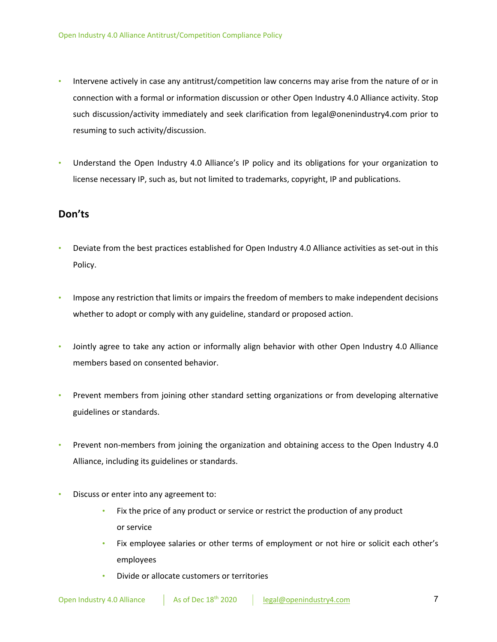- Intervene actively in case any antitrust/competition law concerns may arise from the nature of or in connection with a formal or information discussion or other Open Industry 4.0 Alliance activity. Stop such discussion/activity immediately and seek clarification from legal@onenindustry4.com prior to resuming to such activity/discussion.
- Understand the Open Industry 4.0 Alliance's IP policy and its obligations for your organization to license necessary IP, such as, but not limited to trademarks, copyright, IP and publications.

## **Don'ts**

- Deviate from the best practices established for Open Industry 4.0 Alliance activities as set-out in this Policy.
- Impose any restriction that limits or impairs the freedom of members to make independent decisions whether to adopt or comply with any guideline, standard or proposed action.
- Jointly agree to take any action or informally align behavior with other Open Industry 4.0 Alliance members based on consented behavior.
- Prevent members from joining other standard setting organizations or from developing alternative guidelines or standards.
- Prevent non-members from joining the organization and obtaining access to the Open Industry 4.0 Alliance, including its guidelines or standards.
- Discuss or enter into any agreement to:
	- Fix the price of any product or service or restrict the production of any product or service
	- Fix employee salaries or other terms of employment or not hire or solicit each other's employees
	- Divide or allocate customers or territories